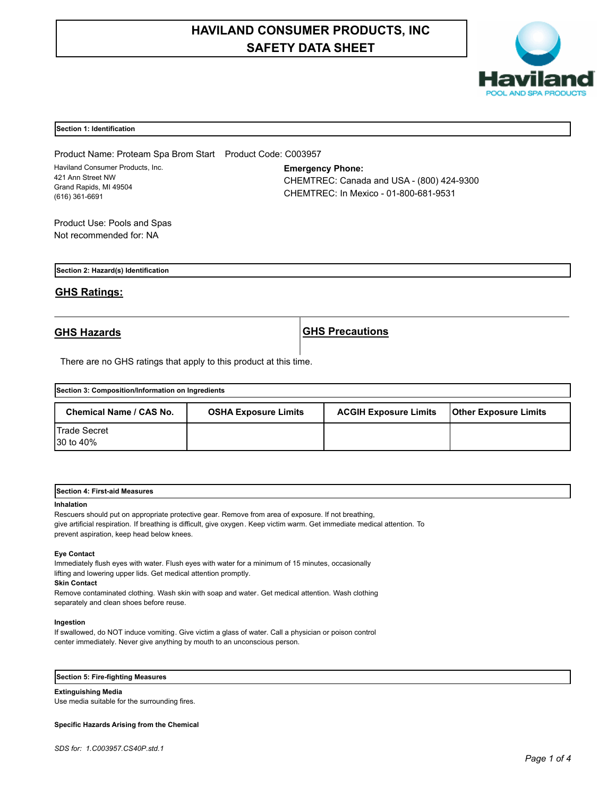# **HAVILAND CONSUMER PRODUCTS, INC SAFETY DATA SHEET**



#### **Section 1: Identification**

Product Name: Proteam Spa Brom Start Product Code: C003957 Haviland Consumer Products, Inc. 421 Ann Street NW Grand Rapids, MI 49504 (616) 361-6691

**Emergency Phone:** CHEMTREC: Canada and USA - (800) 424-9300 CHEMTREC: In Mexico - 01-800-681-9531

Product Use: Pools and Spas Not recommended for: NA

**Section 2: Hazard(s) Identification**

# **GHS Ratings:**

**GHS Hazards GHS Precautions**

There are no GHS ratings that apply to this product at this time.

| Section 3: Composition/Information on Ingredients |                             |                              |                              |  |
|---------------------------------------------------|-----------------------------|------------------------------|------------------------------|--|
| Chemical Name / CAS No.                           | <b>OSHA Exposure Limits</b> | <b>ACGIH Exposure Limits</b> | <b>Other Exposure Limits</b> |  |
| <b>Trade Secret</b><br>30 to 40%                  |                             |                              |                              |  |

| <b>Section</b><br>Measures<br>First-aid<br>. |  |  |
|----------------------------------------------|--|--|
|                                              |  |  |

#### **Inhalation**

Rescuers should put on appropriate protective gear. Remove from area of exposure. If not breathing, give artificial respiration. If breathing is difficult, give oxygen. Keep victim warm. Get immediate medical attention. To prevent aspiration, keep head below knees.

#### **Eye Contact**

Immediately flush eyes with water. Flush eyes with water for a minimum of 15 minutes, occasionally lifting and lowering upper lids. Get medical attention promptly.

#### **Skin Contact**

Remove contaminated clothing. Wash skin with soap and water. Get medical attention. Wash clothing separately and clean shoes before reuse.

#### **Ingestion**

If swallowed, do NOT induce vomiting. Give victim a glass of water. Call a physician or poison control center immediately. Never give anything by mouth to an unconscious person.

**Section 5: Fire-fighting Measures**

#### **Extinguishing Media**

Use media suitable for the surrounding fires.

#### **Specific Hazards Arising from the Chemical**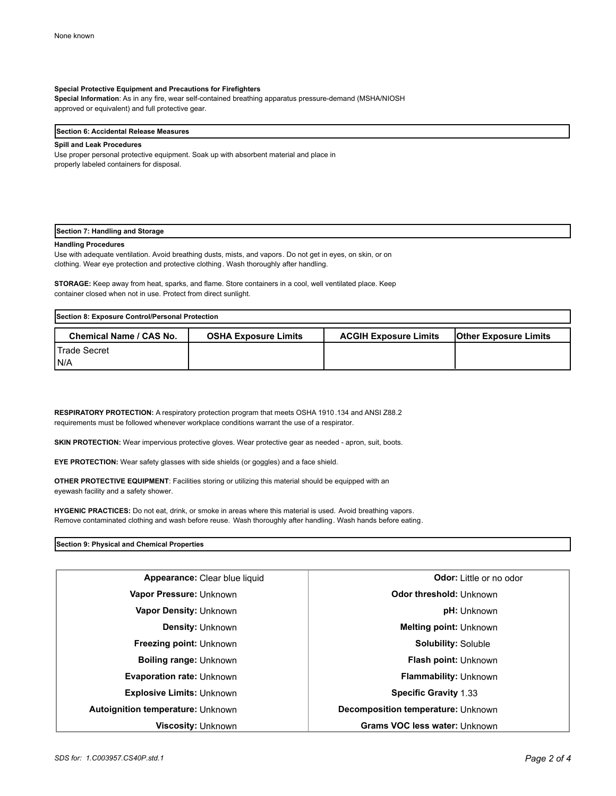#### **Special Protective Equipment and Precautions for Firefighters**

**Special Information**: As in any fire, wear self-contained breathing apparatus pressure-demand (MSHA/NIOSH approved or equivalent) and full protective gear.

#### **Section 6: Accidental Release Measures**

#### **Spill and Leak Procedures**

Use proper personal protective equipment. Soak up with absorbent material and place in properly labeled containers for disposal.

#### **Section 7: Handling and Storage**

#### **Handling Procedures**

Use with adequate ventilation. Avoid breathing dusts, mists, and vapors. Do not get in eyes, on skin, or on clothing. Wear eye protection and protective clothing. Wash thoroughly after handling.

**STORAGE:** Keep away from heat, sparks, and flame. Store containers in a cool, well ventilated place. Keep container closed when not in use. Protect from direct sunlight.

| Section 8: Exposure Control/Personal Protection |                             |                              |                              |
|-------------------------------------------------|-----------------------------|------------------------------|------------------------------|
| <b>Chemical Name / CAS No.</b>                  | <b>OSHA Exposure Limits</b> | <b>ACGIH Exposure Limits</b> | <b>Other Exposure Limits</b> |
| <b>I</b> Trade Secret                           |                             |                              |                              |
| IN/A                                            |                             |                              |                              |

**RESPIRATORY PROTECTION:** A respiratory protection program that meets OSHA 1910.134 and ANSI Z88.2 requirements must be followed whenever workplace conditions warrant the use of a respirator.

**SKIN PROTECTION:** Wear impervious protective gloves. Wear protective gear as needed - apron, suit, boots.

**EYE PROTECTION:** Wear safety glasses with side shields (or goggles) and a face shield.

**OTHER PROTECTIVE EQUIPMENT**: Facilities storing or utilizing this material should be equipped with an eyewash facility and a safety shower.

**HYGENIC PRACTICES:** Do not eat, drink, or smoke in areas where this material is used. Avoid breathing vapors. Remove contaminated clothing and wash before reuse. Wash thoroughly after handling. Wash hands before eating.

#### **Section 9: Physical and Chemical Properties**

| Appearance: Clear blue liquid            | <b>Odor:</b> Little or no odor       |  |
|------------------------------------------|--------------------------------------|--|
| Vapor Pressure: Unknown                  | <b>Odor threshold: Unknown</b>       |  |
| Vapor Density: Unknown                   | <b>pH:</b> Unknown                   |  |
| <b>Density: Unknown</b>                  | <b>Melting point: Unknown</b>        |  |
| <b>Freezing point: Unknown</b>           | <b>Solubility: Soluble</b>           |  |
| <b>Boiling range: Unknown</b>            | <b>Flash point: Unknown</b>          |  |
| <b>Evaporation rate: Unknown</b>         | <b>Flammability: Unknown</b>         |  |
| <b>Explosive Limits: Unknown</b>         | <b>Specific Gravity 1.33</b>         |  |
| <b>Autoignition temperature: Unknown</b> | Decomposition temperature: Unknown   |  |
| <b>Viscosity: Unknown</b>                | <b>Grams VOC less water: Unknown</b> |  |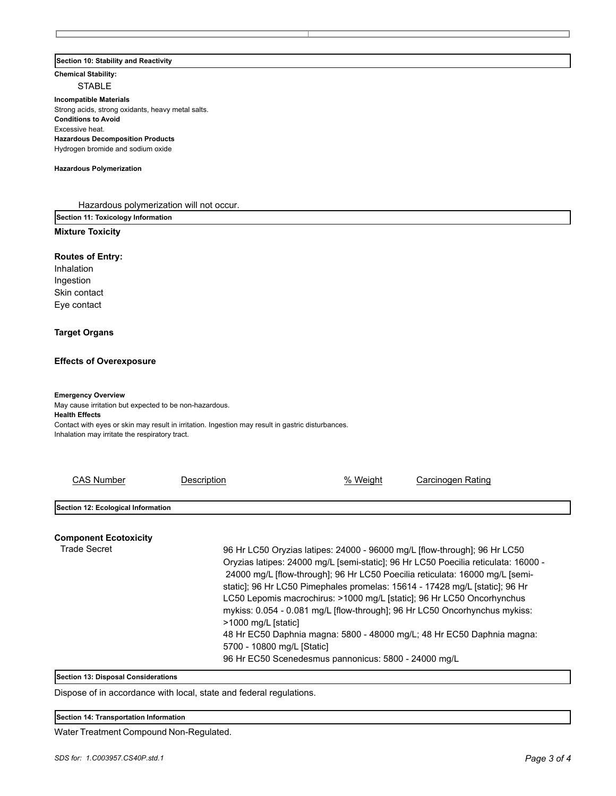#### **Section 10: Stability and Reactivity**

**Chemical Stability:**

STABLE

**Incompatible Materials**  Strong acids, strong oxidants, heavy metal salts. **Conditions to Avoid** Excessive heat. **Hazardous Decomposition Products** Hydrogen bromide and sodium oxide

#### **Hazardous Polymerization**

Hazardous polymerization will not occur.

**Section 11: Toxicology Information**

# **Mixture Toxicity**

### **Routes of Entry:**

Inhalation Ingestion Skin contact Eye contact

# **Target Organs**

# **Effects of Overexposure**

#### **Emergency Overview**

May cause irritation but expected to be non-hazardous. **Health Effects** Contact with eyes or skin may result in irritation. Ingestion may result in gastric disturbances.

| Inhalation may irritate the respiratory tract. |  |  |
|------------------------------------------------|--|--|
|                                                |  |  |

| <b>CAS Number</b>                   | Description         | % Weight                                                                                                                                                                                                                                                                                                                                                                                                                                                                                                                                                                                                                                               | Carcinogen Rating |
|-------------------------------------|---------------------|--------------------------------------------------------------------------------------------------------------------------------------------------------------------------------------------------------------------------------------------------------------------------------------------------------------------------------------------------------------------------------------------------------------------------------------------------------------------------------------------------------------------------------------------------------------------------------------------------------------------------------------------------------|-------------------|
|                                     |                     |                                                                                                                                                                                                                                                                                                                                                                                                                                                                                                                                                                                                                                                        |                   |
| Section 12: Ecological Information  |                     |                                                                                                                                                                                                                                                                                                                                                                                                                                                                                                                                                                                                                                                        |                   |
| <b>Component Ecotoxicity</b>        |                     |                                                                                                                                                                                                                                                                                                                                                                                                                                                                                                                                                                                                                                                        |                   |
| <b>Trade Secret</b>                 | >1000 mg/L [static] | 96 Hr LC50 Oryzias latipes: 24000 - 96000 mg/L [flow-through]; 96 Hr LC50<br>Oryzias latipes: 24000 mg/L [semi-static]; 96 Hr LC50 Poecilia reticulata: 16000 -<br>24000 mg/L [flow-through]; 96 Hr LC50 Poecilia reticulata: 16000 mg/L [semi-<br>static]; 96 Hr LC50 Pimephales promelas: 15614 - 17428 mg/L [static]; 96 Hr<br>LC50 Lepomis macrochirus: >1000 mg/L [static]; 96 Hr LC50 Oncorhynchus<br>mykiss: 0.054 - 0.081 mg/L [flow-through]; 96 Hr LC50 Oncorhynchus mykiss:<br>48 Hr EC50 Daphnia magna: 5800 - 48000 mg/L; 48 Hr EC50 Daphnia magna:<br>5700 - 10800 mg/L [Static]<br>96 Hr EC50 Scenedesmus pannonicus: 5800 - 24000 mg/L |                   |
| Section 13: Disposal Considerations |                     |                                                                                                                                                                                                                                                                                                                                                                                                                                                                                                                                                                                                                                                        |                   |

Dispose of in accordance with local, state and federal regulations.

**Section 14: Transportation Information**

Water Treatment Compound Non-Regulated.